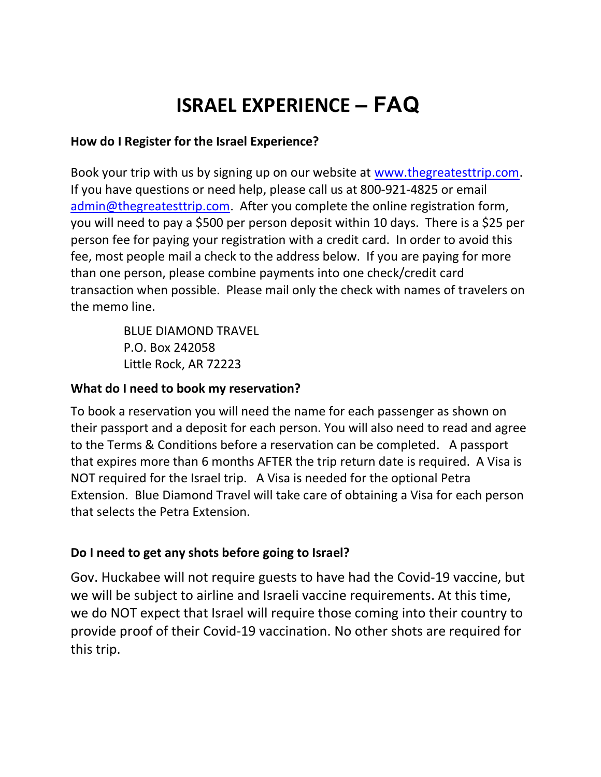# ISRAEL EXPERIENCE – FAQ

#### How do I Register for the Israel Experience?

Book your trip with us by signing up on our website at www.thegreatesttrip.com. If you have questions or need help, please call us at 800-921-4825 or email admin@thegreatesttrip.com. After you complete the online registration form, you will need to pay a \$500 per person deposit within 10 days. There is a \$25 per person fee for paying your registration with a credit card. In order to avoid this fee, most people mail a check to the address below. If you are paying for more than one person, please combine payments into one check/credit card transaction when possible. Please mail only the check with names of travelers on the memo line.

> BLUE DIAMOND TRAVEL P.O. Box 242058 Little Rock, AR 72223

#### What do I need to book my reservation?

To book a reservation you will need the name for each passenger as shown on their passport and a deposit for each person. You will also need to read and agree to the Terms & Conditions before a reservation can be completed. A passport that expires more than 6 months AFTER the trip return date is required. A Visa is NOT required for the Israel trip. A Visa is needed for the optional Petra Extension. Blue Diamond Travel will take care of obtaining a Visa for each person that selects the Petra Extension.

#### Do I need to get any shots before going to Israel?

Gov. Huckabee will not require guests to have had the Covid-19 vaccine, but we will be subject to airline and Israeli vaccine requirements. At this time, we do NOT expect that Israel will require those coming into their country to provide proof of their Covid-19 vaccination. No other shots are required for this trip.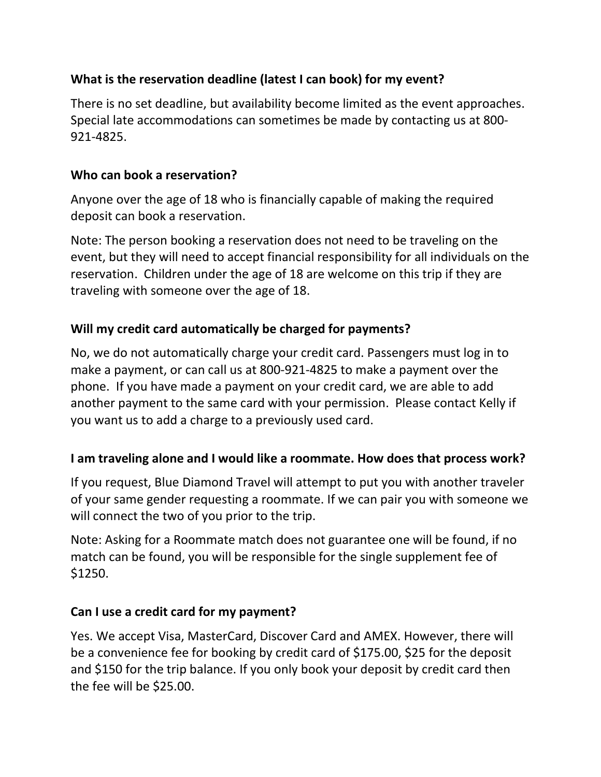## What is the reservation deadline (latest I can book) for my event?

There is no set deadline, but availability become limited as the event approaches. Special late accommodations can sometimes be made by contacting us at 800- 921-4825.

## Who can book a reservation?

Anyone over the age of 18 who is financially capable of making the required deposit can book a reservation.

Note: The person booking a reservation does not need to be traveling on the event, but they will need to accept financial responsibility for all individuals on the reservation. Children under the age of 18 are welcome on this trip if they are traveling with someone over the age of 18.

## Will my credit card automatically be charged for payments?

No, we do not automatically charge your credit card. Passengers must log in to make a payment, or can call us at 800-921-4825 to make a payment over the phone. If you have made a payment on your credit card, we are able to add another payment to the same card with your permission. Please contact Kelly if you want us to add a charge to a previously used card.

## I am traveling alone and I would like a roommate. How does that process work?

If you request, Blue Diamond Travel will attempt to put you with another traveler of your same gender requesting a roommate. If we can pair you with someone we will connect the two of you prior to the trip.

Note: Asking for a Roommate match does not guarantee one will be found, if no match can be found, you will be responsible for the single supplement fee of \$1250.

## Can I use a credit card for my payment?

Yes. We accept Visa, MasterCard, Discover Card and AMEX. However, there will be a convenience fee for booking by credit card of \$175.00, \$25 for the deposit and \$150 for the trip balance. If you only book your deposit by credit card then the fee will be \$25.00.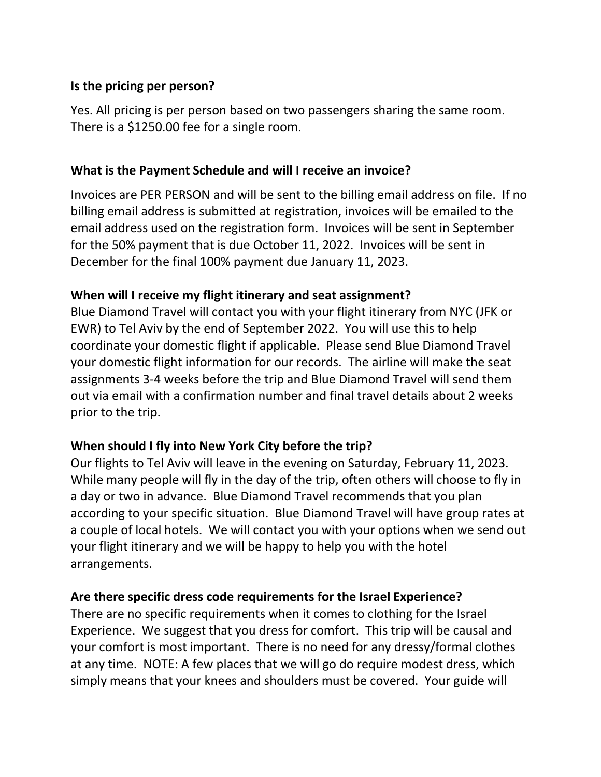#### Is the pricing per person?

Yes. All pricing is per person based on two passengers sharing the same room. There is a \$1250.00 fee for a single room.

#### What is the Payment Schedule and will I receive an invoice?

Invoices are PER PERSON and will be sent to the billing email address on file. If no billing email address is submitted at registration, invoices will be emailed to the email address used on the registration form. Invoices will be sent in September for the 50% payment that is due October 11, 2022. Invoices will be sent in December for the final 100% payment due January 11, 2023.

#### When will I receive my flight itinerary and seat assignment?

Blue Diamond Travel will contact you with your flight itinerary from NYC (JFK or EWR) to Tel Aviv by the end of September 2022. You will use this to help coordinate your domestic flight if applicable. Please send Blue Diamond Travel your domestic flight information for our records. The airline will make the seat assignments 3-4 weeks before the trip and Blue Diamond Travel will send them out via email with a confirmation number and final travel details about 2 weeks prior to the trip.

## When should I fly into New York City before the trip?

Our flights to Tel Aviv will leave in the evening on Saturday, February 11, 2023. While many people will fly in the day of the trip, often others will choose to fly in a day or two in advance. Blue Diamond Travel recommends that you plan according to your specific situation. Blue Diamond Travel will have group rates at a couple of local hotels. We will contact you with your options when we send out your flight itinerary and we will be happy to help you with the hotel arrangements.

## Are there specific dress code requirements for the Israel Experience?

There are no specific requirements when it comes to clothing for the Israel Experience. We suggest that you dress for comfort. This trip will be causal and your comfort is most important. There is no need for any dressy/formal clothes at any time. NOTE: A few places that we will go do require modest dress, which simply means that your knees and shoulders must be covered. Your guide will